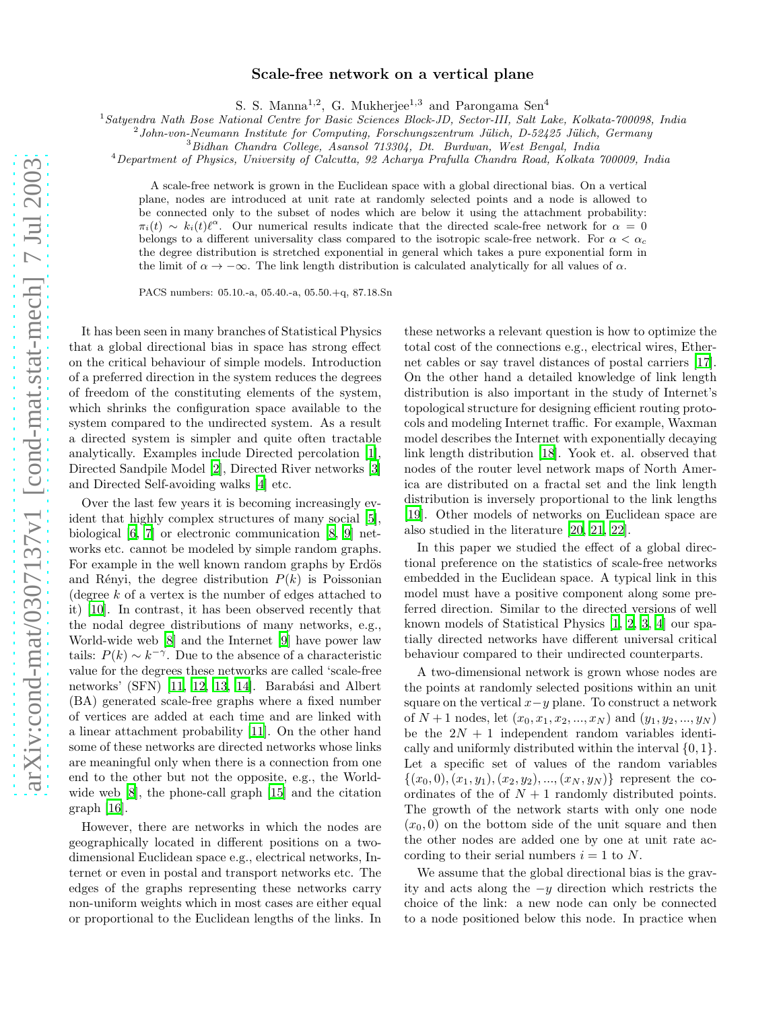## Scale-free network on a vertical plane

S. S. Manna<sup>1,2</sup>, G. Mukherjee<sup>1,3</sup> and Parongama Sen<sup>4</sup>

<sup>1</sup>*Satyendra Nath Bose National Centre for Basic Sciences Block-JD, Sector-III, Salt Lake, Kolkata-700098, India*

2 *John-von-Neumann Institute for Computing, Forschungszentrum J¨ulich, D-52425 J¨ulich, Germany*

<sup>3</sup>*Bidhan Chandra College, Asansol 713304, Dt. Burdwan, West Bengal, India*

<sup>4</sup>*Department of Physics, University of Calcutta, 92 Acharya Prafulla Chandra Road, Kolkata 700009, India*

A scale-free network is grown in the Euclidean space with a global directional bias. On a vertical plane, nodes are introduced at unit rate at randomly selected points and a node is allowed to be connected only to the subset of nodes which are below it using the attachment probability:  $\pi_i(t) \sim k_i(t)\ell^{\alpha}$ . Our numerical results indicate that the directed scale-free network for  $\alpha = 0$ belongs to a different universality class compared to the isotropic scale-free network. For  $\alpha < \alpha_c$ the degree distribution is stretched exponential in general which takes a pure exponential form in the limit of  $\alpha \to -\infty$ . The link length distribution is calculated analytically for all values of  $\alpha$ .

PACS numbers: 05.10.-a, 05.40.-a, 05.50.+q, 87.18.Sn

It has been seen in many branches of Statistical Physics that a global directional bias in space has strong effect on the critical behaviour of simple models. Introduction of a preferred direction in the system reduces the degrees of freedom of the constituting elements of the system, which shrinks the configuration space available to the system compared to the undirected system. As a result a directed system is simpler and quite often tractable analytically. Examples include Directed percolation [\[1\]](#page-3-0), Directed Sandpile Model [\[2\]](#page-3-1), Directed River networks [\[3](#page-3-2)] and Directed Self-avoiding walks [\[4](#page-3-3)] etc.

Over the last few years it is becoming increasingly evident that highly complex structures of many social [\[5\]](#page-3-4), biological [\[6,](#page-3-5) [7](#page-3-6)] or electronic communication [\[8,](#page-3-7) [9\]](#page-3-8) networks etc. cannot be modeled by simple random graphs. For example in the well known random graphs by Erdös and Rényi, the degree distribution  $P(k)$  is Poissonian (degree  $k$  of a vertex is the number of edges attached to it) [\[10](#page-3-9)]. In contrast, it has been observed recently that the nodal degree distributions of many networks, e.g., World-wide web [\[8\]](#page-3-7) and the Internet [\[9](#page-3-8)] have power law tails:  $P(k) \sim k^{-\gamma}$ . Due to the absence of a characteristic value for the degrees these networks are called 'scale-free networks' (SFN) [\[11,](#page-3-10) [12](#page-3-11), [13](#page-3-12), [14](#page-3-13)]. Barabási and Albert (BA) generated scale-free graphs where a fixed number of vertices are added at each time and are linked with a linear attachment probability [\[11\]](#page-3-10). On the other hand some of these networks are directed networks whose links are meaningful only when there is a connection from one end to the other but not the opposite, e.g., the Worldwide web [\[8\]](#page-3-7), the phone-call graph [\[15](#page-3-14)] and the citation graph [\[16](#page-3-15)].

However, there are networks in which the nodes are geographically located in different positions on a twodimensional Euclidean space e.g., electrical networks, Internet or even in postal and transport networks etc. The edges of the graphs representing these networks carry non-uniform weights which in most cases are either equal or proportional to the Euclidean lengths of the links. In

these networks a relevant question is how to optimize the total cost of the connections e.g., electrical wires, Ethernet cables or say travel distances of postal carriers [\[17\]](#page-3-16). On the other hand a detailed knowledge of link length distribution is also important in the study of Internet's topological structure for designing efficient routing protocols and modeling Internet traffic. For example, Waxman model describes the Internet with exponentially decaying link length distribution [\[18\]](#page-3-17). Yook et. al. observed that nodes of the router level network maps of North America are distributed on a fractal set and the link length distribution is inversely proportional to the link lengths [\[19\]](#page-3-18). Other models of networks on Euclidean space are also studied in the literature [\[20](#page-3-19), [21](#page-3-20), [22](#page-3-21)].

In this paper we studied the effect of a global directional preference on the statistics of scale-free networks embedded in the Euclidean space. A typical link in this model must have a positive component along some preferred direction. Similar to the directed versions of well known models of Statistical Physics [\[1,](#page-3-0) [2,](#page-3-1) [3](#page-3-2), [4\]](#page-3-3) our spatially directed networks have different universal critical behaviour compared to their undirected counterparts.

A two-dimensional network is grown whose nodes are the points at randomly selected positions within an unit square on the vertical  $x-y$  plane. To construct a network of  $N+1$  nodes, let  $(x_0, x_1, x_2, ..., x_N)$  and  $(y_1, y_2, ..., y_N)$ be the  $2N + 1$  independent random variables identically and uniformly distributed within the interval  $\{0, 1\}$ . Let a specific set of values of the random variables  $\{(x_0, 0), (x_1, y_1), (x_2, y_2), ..., (x_N, y_N)\}\)$  represent the coordinates of the of  $N + 1$  randomly distributed points. The growth of the network starts with only one node  $(x<sub>0</sub>, 0)$  on the bottom side of the unit square and then the other nodes are added one by one at unit rate according to their serial numbers  $i = 1$  to N.

We assume that the global directional bias is the gravity and acts along the −y direction which restricts the choice of the link: a new node can only be connected to a node positioned below this node. In practice when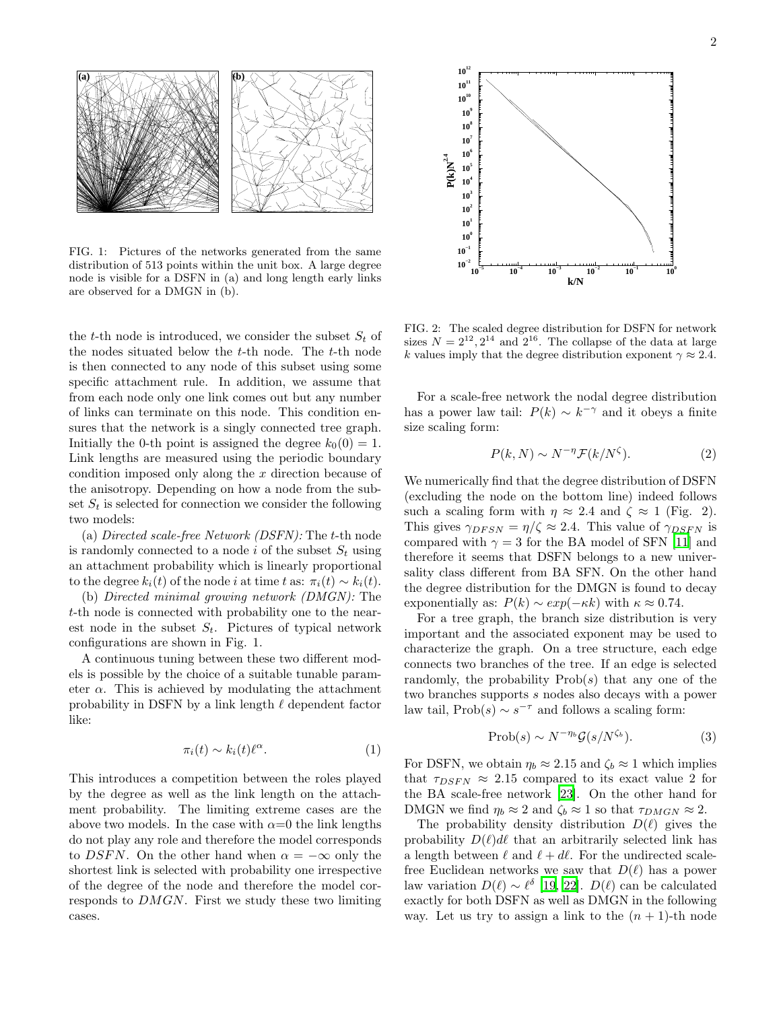

FIG. 1: Pictures of the networks generated from the same distribution of 513 points within the unit box. A large degree node is visible for a DSFN in (a) and long length early links are observed for a DMGN in (b).

the t-th node is introduced, we consider the subset  $S_t$  of the nodes situated below the  $t$ -th node. The  $t$ -th node is then connected to any node of this subset using some specific attachment rule. In addition, we assume that from each node only one link comes out but any number of links can terminate on this node. This condition ensures that the network is a singly connected tree graph. Initially the 0-th point is assigned the degree  $k_0(0) = 1$ . Link lengths are measured using the periodic boundary condition imposed only along the x direction because of the anisotropy. Depending on how a node from the subset  $S_t$  is selected for connection we consider the following two models:

(a) Directed scale-free Network (DSFN): The t-th node is randomly connected to a node i of the subset  $S_t$  using an attachment probability which is linearly proportional to the degree  $k_i(t)$  of the node *i* at time t as:  $\pi_i(t) \sim k_i(t)$ .

(b) Directed minimal growing network (DMGN): The t-th node is connected with probability one to the nearest node in the subset  $S_t$ . Pictures of typical network configurations are shown in Fig. 1.

A continuous tuning between these two different models is possible by the choice of a suitable tunable parameter  $\alpha$ . This is achieved by modulating the attachment probability in DSFN by a link length  $\ell$  dependent factor like:

$$
\pi_i(t) \sim k_i(t)\ell^{\alpha}.\tag{1}
$$

This introduces a competition between the roles played by the degree as well as the link length on the attachment probability. The limiting extreme cases are the above two models. In the case with  $\alpha=0$  the link lengths do not play any role and therefore the model corresponds to DSFN. On the other hand when  $\alpha = -\infty$  only the shortest link is selected with probability one irrespective of the degree of the node and therefore the model corresponds to DMGN. First we study these two limiting cases.



FIG. 2: The scaled degree distribution for DSFN for network sizes  $N = 2^{12}, 2^{14}$  and  $2^{16}$ . The collapse of the data at large k values imply that the degree distribution exponent  $\gamma \approx 2.4$ .

For a scale-free network the nodal degree distribution has a power law tail:  $P(k) \sim k^{-\gamma}$  and it obeys a finite size scaling form:

$$
P(k, N) \sim N^{-\eta} \mathcal{F}(k/N^{\zeta}).
$$
 (2)

We numerically find that the degree distribution of DSFN (excluding the node on the bottom line) indeed follows such a scaling form with  $\eta \approx 2.4$  and  $\zeta \approx 1$  (Fig. 2). This gives  $\gamma_{DFSN} = \eta/\zeta \approx 2.4$ . This value of  $\gamma_{DSFN}$  is compared with  $\gamma = 3$  for the BA model of SFN [\[11\]](#page-3-10) and therefore it seems that DSFN belongs to a new universality class different from BA SFN. On the other hand the degree distribution for the DMGN is found to decay exponentially as:  $P(k) \sim exp(-\kappa k)$  with  $\kappa \approx 0.74$ .

For a tree graph, the branch size distribution is very important and the associated exponent may be used to characterize the graph. On a tree structure, each edge connects two branches of the tree. If an edge is selected randomly, the probability  $Prob(s)$  that any one of the two branches supports s nodes also decays with a power law tail,  $\text{Prob}(s) \sim s^{-\tau}$  and follows a scaling form:

$$
\text{Prob}(s) \sim N^{-\eta_b} \mathcal{G}(s/N^{\zeta_b}).\tag{3}
$$

For DSFN, we obtain  $\eta_b \approx 2.15$  and  $\zeta_b \approx 1$  which implies that  $\tau_{DSFN} \approx 2.15$  compared to its exact value 2 for the BA scale-free network [\[23](#page-3-22)]. On the other hand for DMGN we find  $\eta_b \approx 2$  and  $\zeta_b \approx 1$  so that  $\tau_{DMGN} \approx 2$ .

The probability density distribution  $D(\ell)$  gives the probability  $D(\ell) d\ell$  that an arbitrarily selected link has a length between  $\ell$  and  $\ell + d\ell$ . For the undirected scalefree Euclidean networks we saw that  $D(\ell)$  has a power law variation  $D(\ell) \sim \ell^{\delta}$  [\[19,](#page-3-18) [22](#page-3-21)].  $D(\ell)$  can be calculated exactly for both DSFN as well as DMGN in the following way. Let us try to assign a link to the  $(n + 1)$ -th node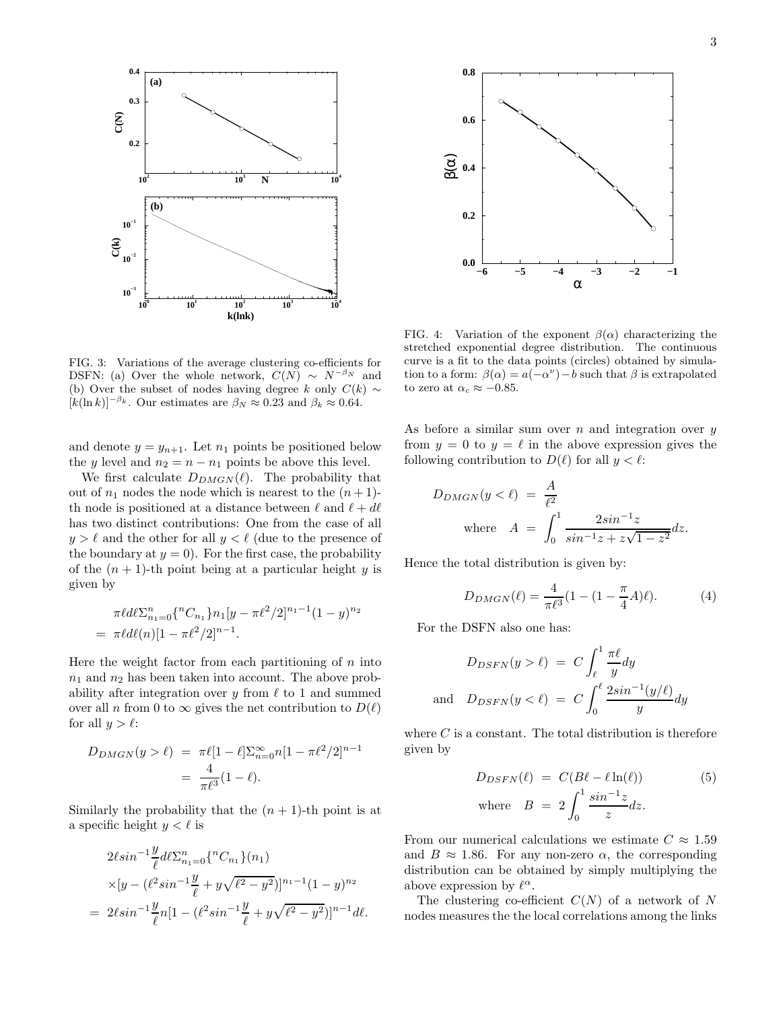

FIG. 3: Variations of the average clustering co-efficients for DSFN: (a) Over the whole network,  $C(N) \sim N^{-\beta_N}$  and (b) Over the subset of nodes having degree k only  $C(k) \sim$  $[k(\ln k)]^{-\beta_k}$ . Our estimates are  $\beta_N \approx 0.23$  and  $\beta_k \approx 0.64$ .

and denote  $y = y_{n+1}$ . Let  $n_1$  points be positioned below the y level and  $n_2 = n - n_1$  points be above this level.

We first calculate  $D_{DMGN}(\ell)$ . The probability that out of  $n_1$  nodes the node which is nearest to the  $(n+1)$ th node is positioned at a distance between  $\ell$  and  $\ell + d\ell$ has two distinct contributions: One from the case of all  $y > \ell$  and the other for all  $y < \ell$  (due to the presence of the boundary at  $y = 0$ ). For the first case, the probability of the  $(n + 1)$ -th point being at a particular height y is given by

$$
\pi \ell d\ell \sum_{n_1=0}^n \{ {}^nC_{n_1} \} n_1 [y - \pi \ell^2 / 2]^{n_1-1} (1 - y)^{n_2}
$$
  
= 
$$
\pi \ell d\ell(n) [1 - \pi \ell^2 / 2]^{n-1}.
$$

Here the weight factor from each partitioning of  $n$  into  $n_1$  and  $n_2$  has been taken into account. The above probability after integration over y from  $\ell$  to 1 and summed over all n from 0 to  $\infty$  gives the net contribution to  $D(\ell)$ for all  $y > \ell$ :

$$
D_{DMGN}(y > \ell) = \pi \ell [1 - \ell] \sum_{n=0}^{\infty} n [1 - \pi \ell^2 / 2]^{n-1}
$$
  
= 
$$
\frac{4}{\pi \ell^3} (1 - \ell).
$$

Similarly the probability that the  $(n + 1)$ -th point is at a specific height  $y < \ell$  is

$$
2\ell \sin^{-1} \frac{y}{\ell} d\ell \sum_{n_1=0}^n \{ {}^nC_{n_1} \} (n_1)
$$
  
 
$$
\times [y - (\ell^2 \sin^{-1} \frac{y}{\ell} + y\sqrt{\ell^2 - y^2})]^{n_1 - 1} (1 - y)^{n_2}
$$
  
= 
$$
2\ell \sin^{-1} \frac{y}{\ell} n [1 - (\ell^2 \sin^{-1} \frac{y}{\ell} + y\sqrt{\ell^2 - y^2})]^{n-1} d\ell.
$$



FIG. 4: Variation of the exponent  $\beta(\alpha)$  characterizing the stretched exponential degree distribution. The continuous curve is a fit to the data points (circles) obtained by simulation to a form:  $\beta(\alpha) = a(-\alpha^{\nu}) - b$  such that  $\beta$  is extrapolated to zero at  $\alpha_c \approx -0.85$ .

As before a similar sum over n and integration over  $y$ from  $y = 0$  to  $y = \ell$  in the above expression gives the following contribution to  $D(\ell)$  for all  $y < \ell$ :

$$
D_{DMGN}(y < \ell) = \frac{A}{\ell^2}
$$
  
where  $A = \int_0^1 \frac{2\sin^{-1}z}{\sin^{-1}z + z\sqrt{1 - z^2}} dz.$ 

Hence the total distribution is given by:

$$
D_{DMGN}(\ell) = \frac{4}{\pi \ell^3} (1 - (1 - \frac{\pi}{4}A)\ell). \tag{4}
$$

For the DSFN also one has:

$$
D_{DSFN}(y > \ell) = C \int_{\ell}^{1} \frac{\pi \ell}{y} dy
$$
  
and 
$$
D_{DSFN}(y < \ell) = C \int_{0}^{\ell} \frac{2\sin^{-1}(y/\ell)}{y} dy
$$

where  $C$  is a constant. The total distribution is therefore given by

$$
D_{DSFN}(\ell) = C(B\ell - \ell \ln(\ell))
$$
  
where  $B = 2 \int_0^1 \frac{\sin^{-1} z}{z} dz$ . (5)

From our numerical calculations we estimate  $C \approx 1.59$ and  $B \approx 1.86$ . For any non-zero  $\alpha$ , the corresponding distribution can be obtained by simply multiplying the above expression by  $\ell^{\alpha}$ .

The clustering co-efficient  $C(N)$  of a network of N nodes measures the the local correlations among the links